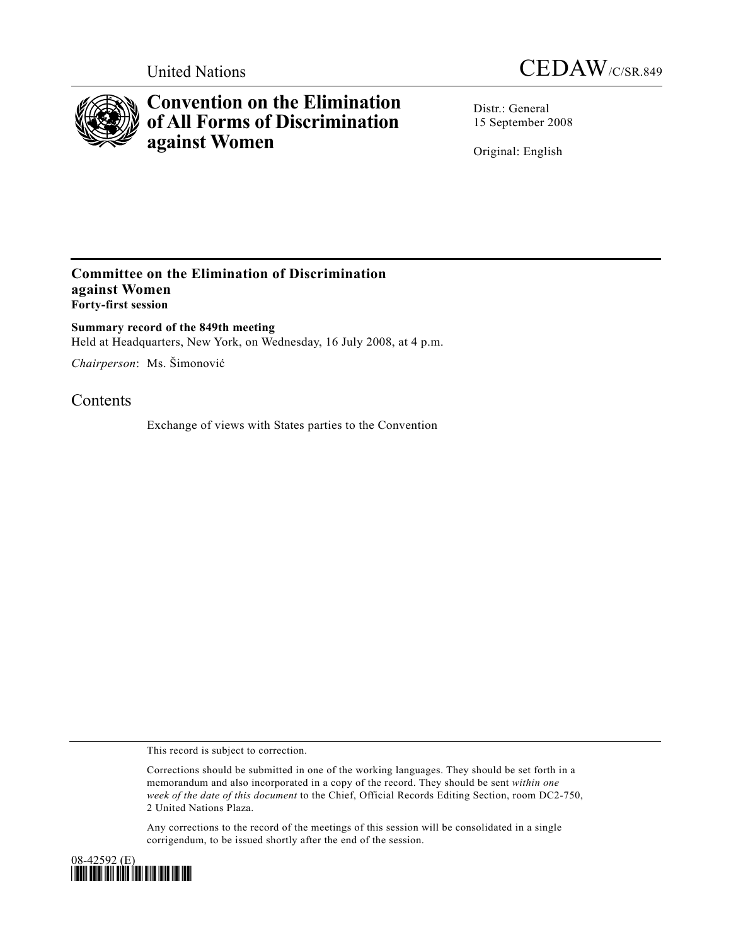



## **Convention on the Elimination of All Forms of Discrimination against Women**

Distr.: General 15 September 2008

Original: English

## **Committee on the Elimination of Discrimination against Women Forty-first session**

**Summary record of the 849th meeting**  Held at Headquarters, New York, on Wednesday, 16 July 2008, at 4 p.m.

*Chairperson*: Ms. Šimonović

## Contents

Exchange of views with States parties to the Convention

This record is subject to correction.

Corrections should be submitted in one of the working languages. They should be set forth in a memorandum and also incorporated in a copy of the record. They should be sent *within one week of the date of this document* to the Chief, Official Records Editing Section, room DC2-750, 2 United Nations Plaza.

Any corrections to the record of the meetings of this session will be consolidated in a single corrigendum, to be issued shortly after the end of the session.

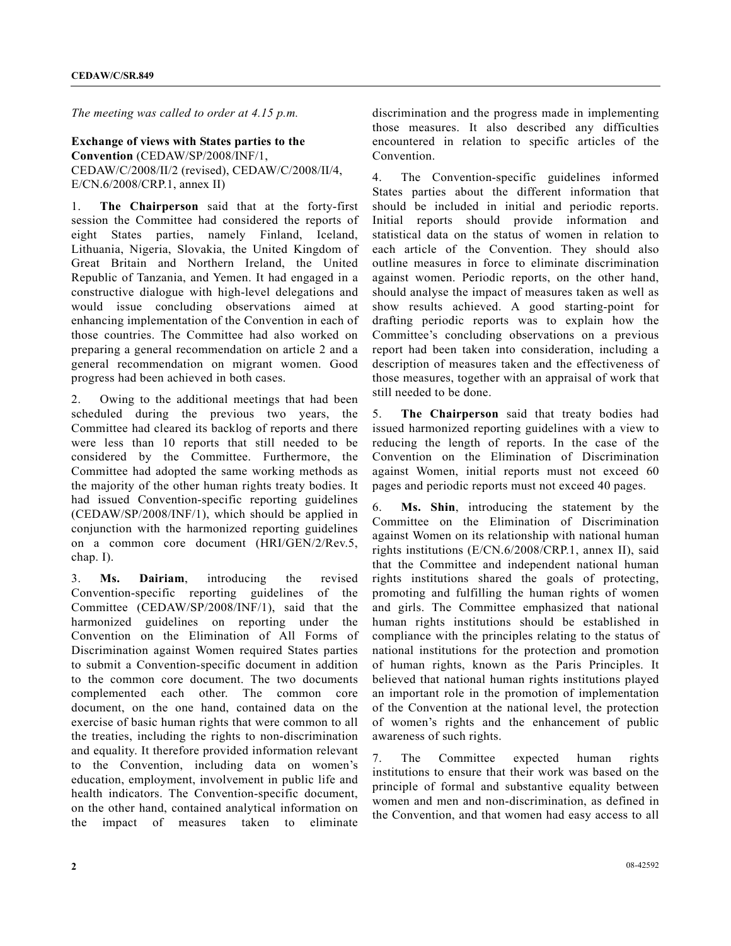*The meeting was called to order at 4.15 p.m.* 

## **Exchange of views with States parties to the Convention** (CEDAW/SP/2008/INF/1, CEDAW/C/2008/II/2 (revised), CEDAW/C/2008/II/4,

E/CN.6/2008/CRP.1, annex II)

1. **The Chairperson** said that at the forty-first session the Committee had considered the reports of eight States parties, namely Finland, Iceland, Lithuania, Nigeria, Slovakia, the United Kingdom of Great Britain and Northern Ireland, the United Republic of Tanzania, and Yemen. It had engaged in a constructive dialogue with high-level delegations and would issue concluding observations aimed at enhancing implementation of the Convention in each of those countries. The Committee had also worked on preparing a general recommendation on article 2 and a general recommendation on migrant women. Good progress had been achieved in both cases.

2. Owing to the additional meetings that had been scheduled during the previous two years, the Committee had cleared its backlog of reports and there were less than 10 reports that still needed to be considered by the Committee. Furthermore, the Committee had adopted the same working methods as the majority of the other human rights treaty bodies. It had issued Convention-specific reporting guidelines (CEDAW/SP/2008/INF/1), which should be applied in conjunction with the harmonized reporting guidelines on a common core document (HRI/GEN/2/Rev.5, chap. I).

3. **Ms. Dairiam**, introducing the revised Convention-specific reporting guidelines of the Committee (CEDAW/SP/2008/INF/1), said that the harmonized guidelines on reporting under the Convention on the Elimination of All Forms of Discrimination against Women required States parties to submit a Convention-specific document in addition to the common core document. The two documents complemented each other. The common core document, on the one hand, contained data on the exercise of basic human rights that were common to all the treaties, including the rights to non-discrimination and equality. It therefore provided information relevant to the Convention, including data on women's education, employment, involvement in public life and health indicators. The Convention-specific document, on the other hand, contained analytical information on the impact of measures taken to eliminate

discrimination and the progress made in implementing those measures. It also described any difficulties encountered in relation to specific articles of the Convention.

4. The Convention-specific guidelines informed States parties about the different information that should be included in initial and periodic reports. Initial reports should provide information and statistical data on the status of women in relation to each article of the Convention. They should also outline measures in force to eliminate discrimination against women. Periodic reports, on the other hand, should analyse the impact of measures taken as well as show results achieved. A good starting-point for drafting periodic reports was to explain how the Committee's concluding observations on a previous report had been taken into consideration, including a description of measures taken and the effectiveness of those measures, together with an appraisal of work that still needed to be done.

5. **The Chairperson** said that treaty bodies had issued harmonized reporting guidelines with a view to reducing the length of reports. In the case of the Convention on the Elimination of Discrimination against Women, initial reports must not exceed 60 pages and periodic reports must not exceed 40 pages.

6. **Ms. Shin**, introducing the statement by the Committee on the Elimination of Discrimination against Women on its relationship with national human rights institutions (E/CN.6/2008/CRP.1, annex II), said that the Committee and independent national human rights institutions shared the goals of protecting, promoting and fulfilling the human rights of women and girls. The Committee emphasized that national human rights institutions should be established in compliance with the principles relating to the status of national institutions for the protection and promotion of human rights, known as the Paris Principles. It believed that national human rights institutions played an important role in the promotion of implementation of the Convention at the national level, the protection of women's rights and the enhancement of public awareness of such rights.

7. The Committee expected human rights institutions to ensure that their work was based on the principle of formal and substantive equality between women and men and non-discrimination, as defined in the Convention, and that women had easy access to all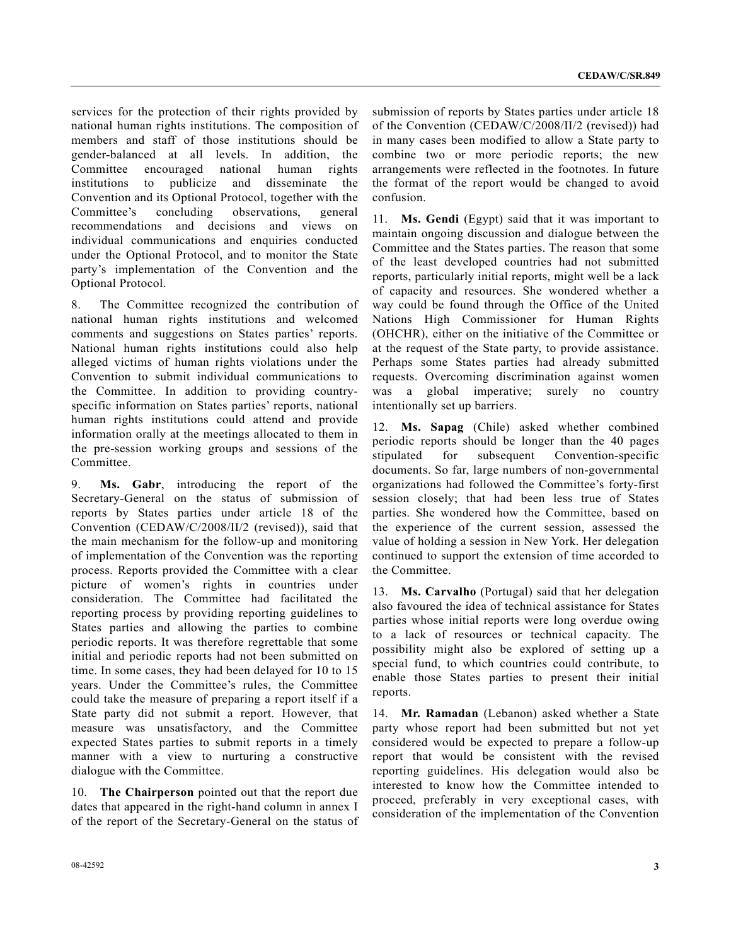services for the protection of their rights provided by national human rights institutions. The composition of members and staff of those institutions should be gender-balanced at all levels. In addition, the Committee encouraged national human rights institutions to publicize and disseminate the Convention and its Optional Protocol, together with the Committee's concluding observations, general recommendations and decisions and views on individual communications and enquiries conducted under the Optional Protocol, and to monitor the State party's implementation of the Convention and the Optional Protocol.

8. The Committee recognized the contribution of national human rights institutions and welcomed comments and suggestions on States parties' reports. National human rights institutions could also help alleged victims of human rights violations under the Convention to submit individual communications to the Committee. In addition to providing countryspecific information on States parties' reports, national human rights institutions could attend and provide information orally at the meetings allocated to them in the pre-session working groups and sessions of the Committee.

9. **Ms. Gabr**, introducing the report of the Secretary-General on the status of submission of reports by States parties under article 18 of the Convention (CEDAW/C/2008/II/2 (revised)), said that the main mechanism for the follow-up and monitoring of implementation of the Convention was the reporting process. Reports provided the Committee with a clear picture of women's rights in countries under consideration. The Committee had facilitated the reporting process by providing reporting guidelines to States parties and allowing the parties to combine periodic reports. It was therefore regrettable that some initial and periodic reports had not been submitted on time. In some cases, they had been delayed for 10 to 15 years. Under the Committee's rules, the Committee could take the measure of preparing a report itself if a State party did not submit a report. However, that measure was unsatisfactory, and the Committee expected States parties to submit reports in a timely manner with a view to nurturing a constructive dialogue with the Committee.

10. **The Chairperson** pointed out that the report due dates that appeared in the right-hand column in annex I of the report of the Secretary-General on the status of submission of reports by States parties under article 18 of the Convention (CEDAW/C/2008/II/2 (revised)) had in many cases been modified to allow a State party to combine two or more periodic reports; the new arrangements were reflected in the footnotes. In future the format of the report would be changed to avoid confusion.

11. **Ms. Gendi** (Egypt) said that it was important to maintain ongoing discussion and dialogue between the Committee and the States parties. The reason that some of the least developed countries had not submitted reports, particularly initial reports, might well be a lack of capacity and resources. She wondered whether a way could be found through the Office of the United Nations High Commissioner for Human Rights (OHCHR), either on the initiative of the Committee or at the request of the State party, to provide assistance. Perhaps some States parties had already submitted requests. Overcoming discrimination against women was a global imperative; surely no country intentionally set up barriers.

12. **Ms. Sapag** (Chile) asked whether combined periodic reports should be longer than the 40 pages stipulated for subsequent Convention-specific documents. So far, large numbers of non-governmental organizations had followed the Committee's forty-first session closely; that had been less true of States parties. She wondered how the Committee, based on the experience of the current session, assessed the value of holding a session in New York. Her delegation continued to support the extension of time accorded to the Committee.

13. **Ms. Carvalho** (Portugal) said that her delegation also favoured the idea of technical assistance for States parties whose initial reports were long overdue owing to a lack of resources or technical capacity. The possibility might also be explored of setting up a special fund, to which countries could contribute, to enable those States parties to present their initial reports.

14. **Mr. Ramadan** (Lebanon) asked whether a State party whose report had been submitted but not yet considered would be expected to prepare a follow-up report that would be consistent with the revised reporting guidelines. His delegation would also be interested to know how the Committee intended to proceed, preferably in very exceptional cases, with consideration of the implementation of the Convention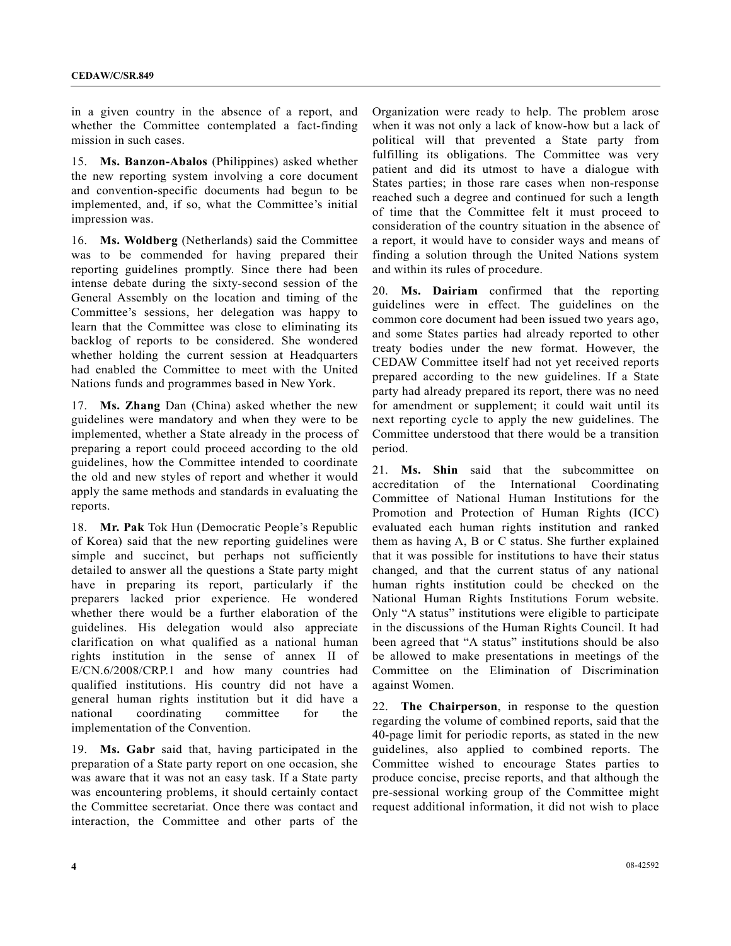in a given country in the absence of a report, and whether the Committee contemplated a fact-finding mission in such cases.

15. **Ms. Banzon-Abalos** (Philippines) asked whether the new reporting system involving a core document and convention-specific documents had begun to be implemented, and, if so, what the Committee's initial impression was.

16. **Ms. Woldberg** (Netherlands) said the Committee was to be commended for having prepared their reporting guidelines promptly. Since there had been intense debate during the sixty-second session of the General Assembly on the location and timing of the Committee's sessions, her delegation was happy to learn that the Committee was close to eliminating its backlog of reports to be considered. She wondered whether holding the current session at Headquarters had enabled the Committee to meet with the United Nations funds and programmes based in New York.

17. **Ms. Zhang** Dan (China) asked whether the new guidelines were mandatory and when they were to be implemented, whether a State already in the process of preparing a report could proceed according to the old guidelines, how the Committee intended to coordinate the old and new styles of report and whether it would apply the same methods and standards in evaluating the reports.

18. **Mr. Pak** Tok Hun (Democratic People's Republic of Korea) said that the new reporting guidelines were simple and succinct, but perhaps not sufficiently detailed to answer all the questions a State party might have in preparing its report, particularly if the preparers lacked prior experience. He wondered whether there would be a further elaboration of the guidelines. His delegation would also appreciate clarification on what qualified as a national human rights institution in the sense of annex II of E/CN.6/2008/CRP.1 and how many countries had qualified institutions. His country did not have a general human rights institution but it did have a national coordinating committee for the implementation of the Convention.

19. **Ms. Gabr** said that, having participated in the preparation of a State party report on one occasion, she was aware that it was not an easy task. If a State party was encountering problems, it should certainly contact the Committee secretariat. Once there was contact and interaction, the Committee and other parts of the

Organization were ready to help. The problem arose when it was not only a lack of know-how but a lack of political will that prevented a State party from fulfilling its obligations. The Committee was very patient and did its utmost to have a dialogue with States parties; in those rare cases when non-response reached such a degree and continued for such a length of time that the Committee felt it must proceed to consideration of the country situation in the absence of a report, it would have to consider ways and means of finding a solution through the United Nations system and within its rules of procedure.

20. **Ms. Dairiam** confirmed that the reporting guidelines were in effect. The guidelines on the common core document had been issued two years ago, and some States parties had already reported to other treaty bodies under the new format. However, the CEDAW Committee itself had not yet received reports prepared according to the new guidelines. If a State party had already prepared its report, there was no need for amendment or supplement; it could wait until its next reporting cycle to apply the new guidelines. The Committee understood that there would be a transition period.

21. **Ms. Shin** said that the subcommittee on accreditation of the International Coordinating Committee of National Human Institutions for the Promotion and Protection of Human Rights (ICC) evaluated each human rights institution and ranked them as having A, B or C status. She further explained that it was possible for institutions to have their status changed, and that the current status of any national human rights institution could be checked on the National Human Rights Institutions Forum website. Only "A status" institutions were eligible to participate in the discussions of the Human Rights Council. It had been agreed that "A status" institutions should be also be allowed to make presentations in meetings of the Committee on the Elimination of Discrimination against Women.

22. **The Chairperson**, in response to the question regarding the volume of combined reports, said that the 40-page limit for periodic reports, as stated in the new guidelines, also applied to combined reports. The Committee wished to encourage States parties to produce concise, precise reports, and that although the pre-sessional working group of the Committee might request additional information, it did not wish to place